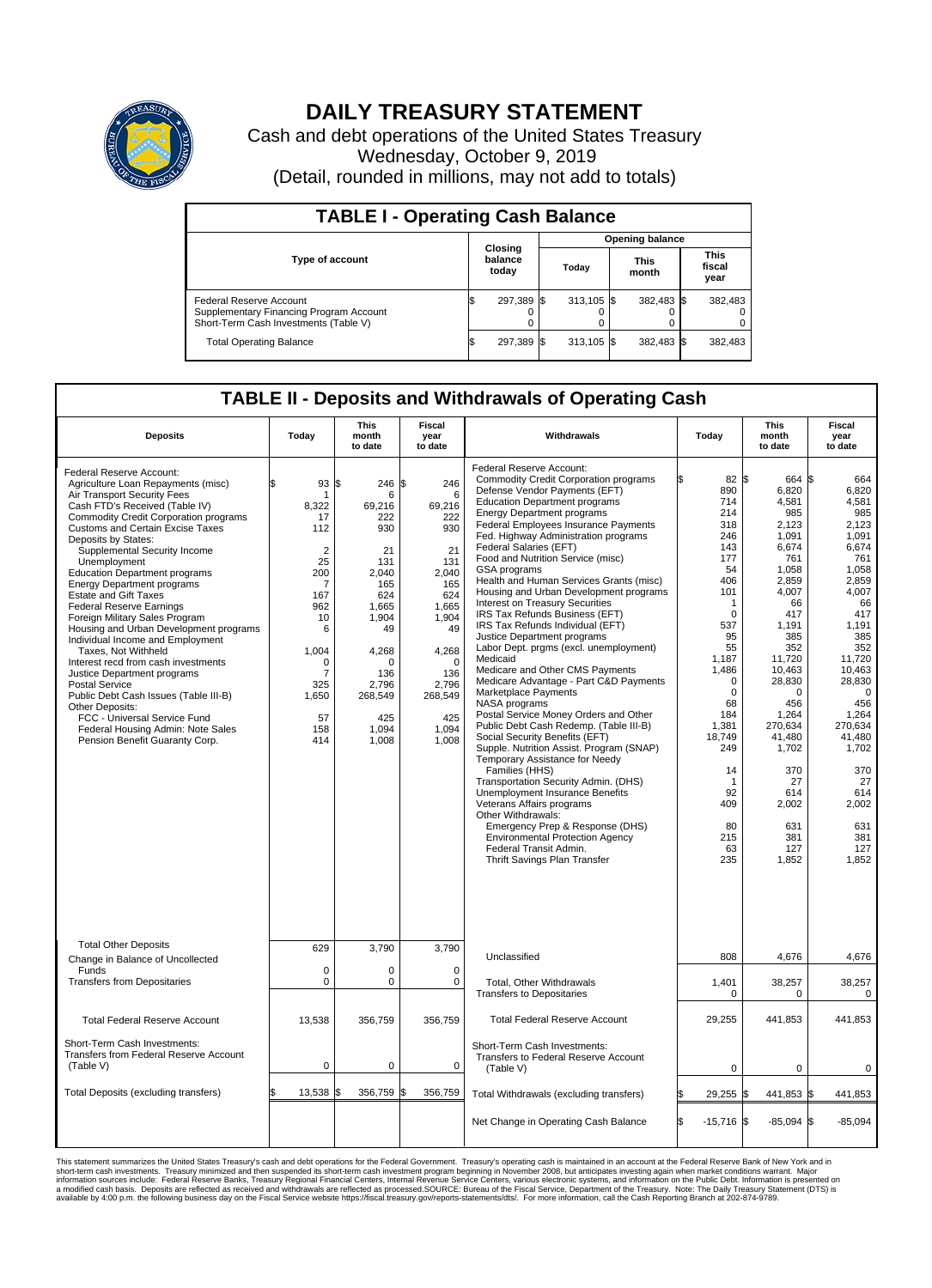

## **DAILY TREASURY STATEMENT**

Cash and debt operations of the United States Treasury Wednesday, October 9, 2019 (Detail, rounded in millions, may not add to totals)

| <b>TABLE I - Operating Cash Balance</b>                                                                     |    |                             |  |                        |  |                      |  |                               |  |  |
|-------------------------------------------------------------------------------------------------------------|----|-----------------------------|--|------------------------|--|----------------------|--|-------------------------------|--|--|
|                                                                                                             |    |                             |  | <b>Opening balance</b> |  |                      |  |                               |  |  |
| <b>Type of account</b>                                                                                      |    | Closing<br>balance<br>today |  | Today                  |  | <b>This</b><br>month |  | <b>This</b><br>fiscal<br>year |  |  |
| Federal Reserve Account<br>Supplementary Financing Program Account<br>Short-Term Cash Investments (Table V) |    | 297,389 \$                  |  | $313.105$ \$           |  | 382,483 \$           |  | 382,483                       |  |  |
| <b>Total Operating Balance</b>                                                                              | ΙФ | 297,389 \$                  |  | $313.105$ \$           |  | 382,483 \$           |  | 382,483                       |  |  |

## **TABLE II - Deposits and Withdrawals of Operating Cash**

| <b>Deposits</b>                                                                                                                                                                                                                                                                                                                                                                                                                                                                                                                                                                                                                                                                                                                                                                                                                                     | Today                                                                                                                                                                | <b>This</b><br>month<br>to date                                                                                                                                         | <b>Fiscal</b><br>year<br>to date                                                                                                                                      | Withdrawals                                                                                                                                                                                                                                                                                                                                                                                                                                                                                                                                                                                                                                                                                                                                                                                                                                                                                                                                                                                                                                                                                                                                                                                                                                                     | Today                                                                                                                                                                                                                                                      | <b>This</b><br>month<br>to date                                                                                                                                                                                                                                              | <b>Fiscal</b><br>year<br>to date                                                                                                                                                                                                                                                       |
|-----------------------------------------------------------------------------------------------------------------------------------------------------------------------------------------------------------------------------------------------------------------------------------------------------------------------------------------------------------------------------------------------------------------------------------------------------------------------------------------------------------------------------------------------------------------------------------------------------------------------------------------------------------------------------------------------------------------------------------------------------------------------------------------------------------------------------------------------------|----------------------------------------------------------------------------------------------------------------------------------------------------------------------|-------------------------------------------------------------------------------------------------------------------------------------------------------------------------|-----------------------------------------------------------------------------------------------------------------------------------------------------------------------|-----------------------------------------------------------------------------------------------------------------------------------------------------------------------------------------------------------------------------------------------------------------------------------------------------------------------------------------------------------------------------------------------------------------------------------------------------------------------------------------------------------------------------------------------------------------------------------------------------------------------------------------------------------------------------------------------------------------------------------------------------------------------------------------------------------------------------------------------------------------------------------------------------------------------------------------------------------------------------------------------------------------------------------------------------------------------------------------------------------------------------------------------------------------------------------------------------------------------------------------------------------------|------------------------------------------------------------------------------------------------------------------------------------------------------------------------------------------------------------------------------------------------------------|------------------------------------------------------------------------------------------------------------------------------------------------------------------------------------------------------------------------------------------------------------------------------|----------------------------------------------------------------------------------------------------------------------------------------------------------------------------------------------------------------------------------------------------------------------------------------|
| Federal Reserve Account:<br>Agriculture Loan Repayments (misc)<br>Air Transport Security Fees<br>Cash FTD's Received (Table IV)<br><b>Commodity Credit Corporation programs</b><br><b>Customs and Certain Excise Taxes</b><br>Deposits by States:<br>Supplemental Security Income<br>Unemployment<br><b>Education Department programs</b><br><b>Energy Department programs</b><br><b>Estate and Gift Taxes</b><br><b>Federal Reserve Earnings</b><br>Foreign Military Sales Program<br>Housing and Urban Development programs<br>Individual Income and Employment<br>Taxes, Not Withheld<br>Interest recd from cash investments<br>Justice Department programs<br>Postal Service<br>Public Debt Cash Issues (Table III-B)<br>Other Deposits:<br>FCC - Universal Service Fund<br>Federal Housing Admin: Note Sales<br>Pension Benefit Guaranty Corp. | ዼ<br>93<br>-1<br>8.322<br>17<br>112<br>$\overline{2}$<br>25<br>200<br>$\overline{7}$<br>167<br>962<br>10<br>6<br>1,004<br>∩<br>7<br>325<br>1,650<br>57<br>158<br>414 | S.<br>246 \$<br>6<br>69.216<br>222<br>930<br>21<br>131<br>2,040<br>165<br>624<br>1,665<br>1,904<br>49<br>4,268<br>∩<br>136<br>2,796<br>268,549<br>425<br>1,094<br>1,008 | 246<br>6<br>69,216<br>222<br>930<br>21<br>131<br>2,040<br>165<br>624<br>1,665<br>1,904<br>49<br>4,268<br>$\Omega$<br>136<br>2,796<br>268,549<br>425<br>1.094<br>1,008 | Federal Reserve Account:<br><b>Commodity Credit Corporation programs</b><br>Defense Vendor Payments (EFT)<br><b>Education Department programs</b><br><b>Energy Department programs</b><br>Federal Employees Insurance Payments<br>Fed. Highway Administration programs<br>Federal Salaries (EFT)<br>Food and Nutrition Service (misc)<br>GSA programs<br>Health and Human Services Grants (misc)<br>Housing and Urban Development programs<br>Interest on Treasury Securities<br>IRS Tax Refunds Business (EFT)<br>IRS Tax Refunds Individual (EFT)<br>Justice Department programs<br>Labor Dept. prgms (excl. unemployment)<br>Medicaid<br>Medicare and Other CMS Payments<br>Medicare Advantage - Part C&D Payments<br>Marketplace Payments<br>NASA programs<br>Postal Service Money Orders and Other<br>Public Debt Cash Redemp. (Table III-B)<br>Social Security Benefits (EFT)<br>Supple. Nutrition Assist. Program (SNAP)<br>Temporary Assistance for Needy<br>Families (HHS)<br>Transportation Security Admin. (DHS)<br><b>Unemployment Insurance Benefits</b><br>Veterans Affairs programs<br>Other Withdrawals:<br>Emergency Prep & Response (DHS)<br><b>Environmental Protection Agency</b><br>Federal Transit Admin.<br>Thrift Savings Plan Transfer | 82 \$<br>890<br>714<br>214<br>318<br>246<br>143<br>177<br>54<br>406<br>101<br>1<br>$\mathbf 0$<br>537<br>95<br>55<br>1,187<br>1,486<br>0<br>$\mathbf 0$<br>68<br>184<br>1,381<br>18.749<br>249<br>14<br>$\mathbf 1$<br>92<br>409<br>80<br>215<br>63<br>235 | 664 \$<br>6,820<br>4,581<br>985<br>2.123<br>1,091<br>6,674<br>761<br>1,058<br>2,859<br>4.007<br>66<br>417<br>1,191<br>385<br>352<br>11,720<br>10,463<br>28,830<br>0<br>456<br>1,264<br>270,634<br>41,480<br>1,702<br>370<br>27<br>614<br>2,002<br>631<br>381<br>127<br>1,852 | 664<br>6,820<br>4,581<br>985<br>2.123<br>1,091<br>6,674<br>761<br>1,058<br>2,859<br>4.007<br>66<br>417<br>1,191<br>385<br>352<br>11,720<br>10,463<br>28,830<br>$\overline{0}$<br>456<br>1,264<br>270,634<br>41.480<br>1,702<br>370<br>27<br>614<br>2,002<br>631<br>381<br>127<br>1.852 |
| <b>Total Other Deposits</b><br>Change in Balance of Uncollected                                                                                                                                                                                                                                                                                                                                                                                                                                                                                                                                                                                                                                                                                                                                                                                     | 629                                                                                                                                                                  | 3,790                                                                                                                                                                   | 3,790                                                                                                                                                                 | Unclassified                                                                                                                                                                                                                                                                                                                                                                                                                                                                                                                                                                                                                                                                                                                                                                                                                                                                                                                                                                                                                                                                                                                                                                                                                                                    | 808                                                                                                                                                                                                                                                        | 4,676                                                                                                                                                                                                                                                                        | 4,676                                                                                                                                                                                                                                                                                  |
| Funds<br><b>Transfers from Depositaries</b>                                                                                                                                                                                                                                                                                                                                                                                                                                                                                                                                                                                                                                                                                                                                                                                                         | $\mathbf 0$<br>$\mathbf 0$                                                                                                                                           | 0<br>0                                                                                                                                                                  | $\Omega$<br>$\mathbf 0$                                                                                                                                               | Total, Other Withdrawals                                                                                                                                                                                                                                                                                                                                                                                                                                                                                                                                                                                                                                                                                                                                                                                                                                                                                                                                                                                                                                                                                                                                                                                                                                        | 1,401                                                                                                                                                                                                                                                      | 38,257                                                                                                                                                                                                                                                                       | 38,257                                                                                                                                                                                                                                                                                 |
|                                                                                                                                                                                                                                                                                                                                                                                                                                                                                                                                                                                                                                                                                                                                                                                                                                                     |                                                                                                                                                                      |                                                                                                                                                                         |                                                                                                                                                                       | <b>Transfers to Depositaries</b>                                                                                                                                                                                                                                                                                                                                                                                                                                                                                                                                                                                                                                                                                                                                                                                                                                                                                                                                                                                                                                                                                                                                                                                                                                | 0                                                                                                                                                                                                                                                          | 0                                                                                                                                                                                                                                                                            | 0                                                                                                                                                                                                                                                                                      |
| <b>Total Federal Reserve Account</b>                                                                                                                                                                                                                                                                                                                                                                                                                                                                                                                                                                                                                                                                                                                                                                                                                | 13,538                                                                                                                                                               | 356,759                                                                                                                                                                 | 356,759                                                                                                                                                               | <b>Total Federal Reserve Account</b>                                                                                                                                                                                                                                                                                                                                                                                                                                                                                                                                                                                                                                                                                                                                                                                                                                                                                                                                                                                                                                                                                                                                                                                                                            | 29,255                                                                                                                                                                                                                                                     | 441,853                                                                                                                                                                                                                                                                      | 441,853                                                                                                                                                                                                                                                                                |
| Short-Term Cash Investments:<br>Transfers from Federal Reserve Account<br>(Table V)                                                                                                                                                                                                                                                                                                                                                                                                                                                                                                                                                                                                                                                                                                                                                                 | $\mathbf 0$                                                                                                                                                          | 0                                                                                                                                                                       | $\mathbf 0$                                                                                                                                                           | Short-Term Cash Investments:<br>Transfers to Federal Reserve Account<br>(Table V)                                                                                                                                                                                                                                                                                                                                                                                                                                                                                                                                                                                                                                                                                                                                                                                                                                                                                                                                                                                                                                                                                                                                                                               | $\mathbf 0$                                                                                                                                                                                                                                                | $\mathbf 0$                                                                                                                                                                                                                                                                  | 0                                                                                                                                                                                                                                                                                      |
| Total Deposits (excluding transfers)                                                                                                                                                                                                                                                                                                                                                                                                                                                                                                                                                                                                                                                                                                                                                                                                                | 13,538                                                                                                                                                               | l\$<br>356,759 \$                                                                                                                                                       | 356,759                                                                                                                                                               | Total Withdrawals (excluding transfers)                                                                                                                                                                                                                                                                                                                                                                                                                                                                                                                                                                                                                                                                                                                                                                                                                                                                                                                                                                                                                                                                                                                                                                                                                         | 29,255                                                                                                                                                                                                                                                     | 441,853 \$<br>l\$                                                                                                                                                                                                                                                            | 441,853                                                                                                                                                                                                                                                                                |
|                                                                                                                                                                                                                                                                                                                                                                                                                                                                                                                                                                                                                                                                                                                                                                                                                                                     |                                                                                                                                                                      |                                                                                                                                                                         |                                                                                                                                                                       | Net Change in Operating Cash Balance                                                                                                                                                                                                                                                                                                                                                                                                                                                                                                                                                                                                                                                                                                                                                                                                                                                                                                                                                                                                                                                                                                                                                                                                                            | S.<br>$-15,716$ \$                                                                                                                                                                                                                                         | $-85,094$ \$                                                                                                                                                                                                                                                                 | $-85,094$                                                                                                                                                                                                                                                                              |

This statement summarizes the United States Treasury's cash and debt operations for the Federal Government. Treasury soperating in November 2008, but anticiarded in a cocount at the Federal metaformation sources investment